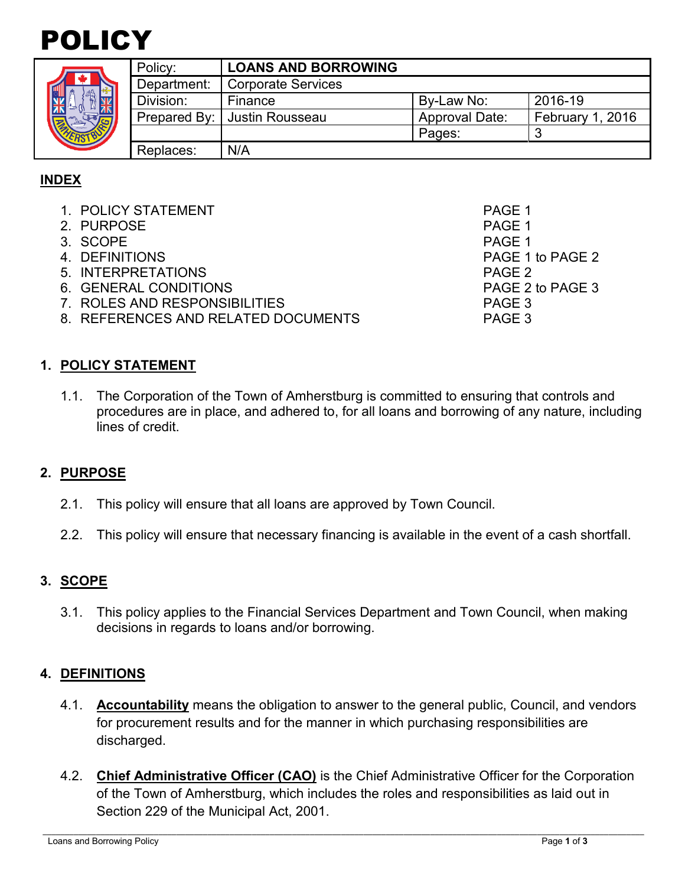# POLICY

| ¢<br>٠ |  |
|--------|--|

|  | Policy:     | <b>LOANS AND BORROWING</b>     |                       |                  |
|--|-------------|--------------------------------|-----------------------|------------------|
|  | Department: | <b>Corporate Services</b>      |                       |                  |
|  | Division:   | Finance                        | By-Law No:            | 2016-19          |
|  |             | Prepared By:   Justin Rousseau | <b>Approval Date:</b> | February 1, 2016 |
|  |             |                                | Pages:                | ◠                |
|  | Replaces:   | N/A                            |                       |                  |

# **INDEX**

- 1. POLICY STATEMENT PAGE 1
- 2. PURPOSE And the set of the set of the set of the set of the set of the set of the set of the set of the set of the set of the set of the set of the set of the set of the set of the set of the set of the set of the set o
- 3. SCOPE PAGE 1
- 4. DEFINITIONS PAGE 1 to PAGE 2
- 5. INTERPRETATIONS PAGE 2
- 6. GENERAL CONDITIONS PAGE 2 to PAGE 3
- 7. ROLES AND RESPONSIBILITIES PAGE 3
- 8. REFERENCES AND RELATED DOCUMENTS PAGE 3

**1. POLICY STATEMENT**

1.1. The Corporation of the Town of Amherstburg is committed to ensuring that controls and procedures are in place, and adhered to, for all loans and borrowing of any nature, including lines of credit.

# **2. PURPOSE**

- 2.1. This policy will ensure that all loans are approved by Town Council.
- 2.2. This policy will ensure that necessary financing is available in the event of a cash shortfall.

# **3. SCOPE**

3.1. This policy applies to the Financial Services Department and Town Council, when making decisions in regards to loans and/or borrowing.

# **4. DEFINITIONS**

- 4.1. **Accountability** means the obligation to answer to the general public, Council, and vendors for procurement results and for the manner in which purchasing responsibilities are discharged.
- 4.2. **Chief Administrative Officer (CAO)** is the Chief Administrative Officer for the Corporation of the Town of Amherstburg, which includes the roles and responsibilities as laid out in Section 229 of the Municipal Act, 2001.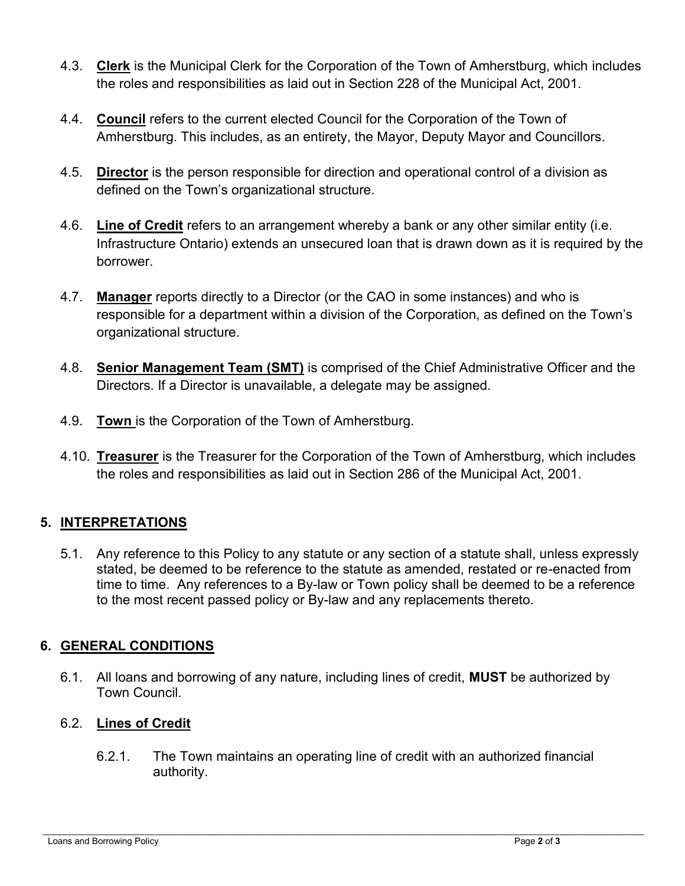- 4.3. **Clerk** is the Municipal Clerk for the Corporation of the Town of Amherstburg, which includes the roles and responsibilities as laid out in Section 228 of the Municipal Act, 2001.
- 4.4. **Council** refers to the current elected Council for the Corporation of the Town of Amherstburg. This includes, as an entirety, the Mayor, Deputy Mayor and Councillors.
- 4.5. **Director** is the person responsible for direction and operational control of a division as defined on the Town's organizational structure.
- 4.6. **Line of Credit** refers to an arrangement whereby a bank or any other similar entity (i.e. Infrastructure Ontario) extends an unsecured loan that is drawn down as it is required by the borrower.
- 4.7. **Manager** reports directly to a Director (or the CAO in some instances) and who is responsible for a department within a division of the Corporation, as defined on the Town's organizational structure.
- 4.8. **Senior Management Team (SMT)** is comprised of the Chief Administrative Officer and the Directors. If a Director is unavailable, a delegate may be assigned.
- 4.9. **Town** is the Corporation of the Town of Amherstburg.
- 4.10. **Treasurer** is the Treasurer for the Corporation of the Town of Amherstburg, which includes the roles and responsibilities as laid out in Section 286 of the Municipal Act, 2001.

# **5. INTERPRETATIONS**

5.1. Any reference to this Policy to any statute or any section of a statute shall, unless expressly stated, be deemed to be reference to the statute as amended, restated or re-enacted from time to time. Any references to a By-law or Town policy shall be deemed to be a reference to the most recent passed policy or By-law and any replacements thereto.

# **6. GENERAL CONDITIONS**

6.1. All loans and borrowing of any nature, including lines of credit, **MUST** be authorized by Town Council.

# 6.2. **Lines of Credit**

6.2.1. The Town maintains an operating line of credit with an authorized financial authority.